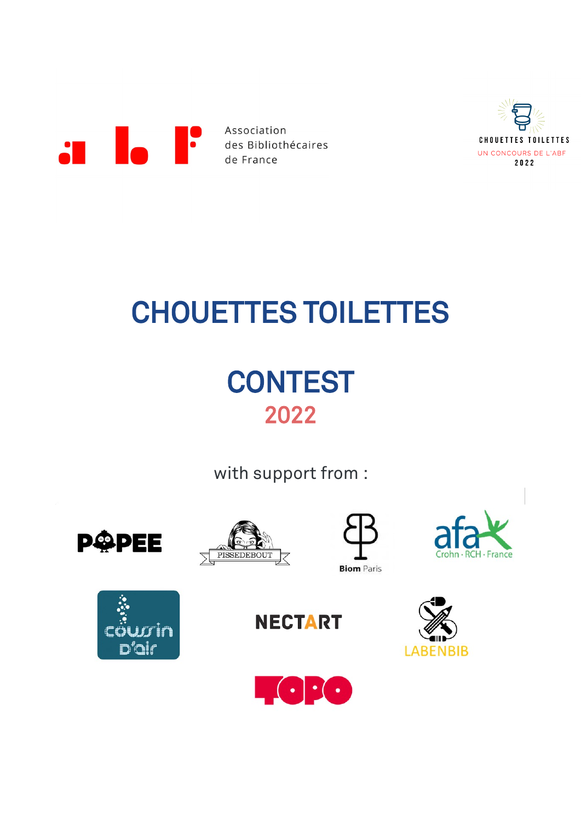

Association des Bibliothécaires de France



# CHOUETTES TOILETTES

## **CONTEST** 2022

with support from :















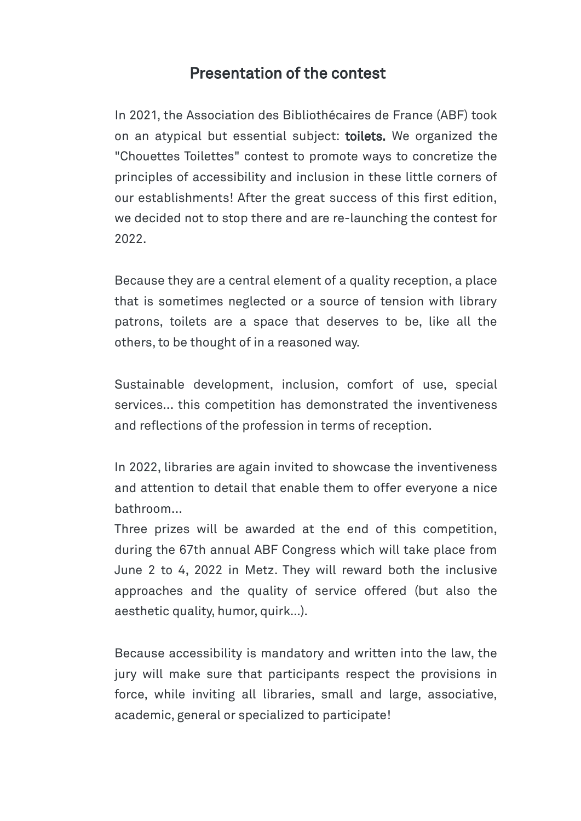### Presentation of the contest

In 2021, the Association des Bibliothécaires de France (ABF) took on an atypical but essential subject: toilets. We organized the "Chouettes Toilettes" contest to promote ways to concretize the principles of accessibility and inclusion in these little corners of our establishments! After the great success of this first edition, we decided not to stop there and are re-launching the contest for 2022.

Because they are a central element of a quality reception, a place that is sometimes neglected or a source of tension with library patrons, toilets are a space that deserves to be, like all the others, to be thought of in a reasoned way.

Sustainable development, inclusion, comfort of use, special services... this competition has demonstrated the inventiveness and reflections of the profession in terms of reception.

In 2022, libraries are again invited to showcase the inventiveness and attention to detail that enable them to offer everyone a nice bathroom...

Three prizes will be awarded at the end of this competition, during the 67th annual ABF Congress which will take place from June 2 to 4, 2022 in Metz. They will reward both the inclusive approaches and the quality of service offered (but also the aesthetic quality, humor, quirk…).

Because accessibility is mandatory and written into the law, the jury will make sure that participants respect the provisions in force, while inviting all libraries, small and large, associative, academic, general or specialized to participate!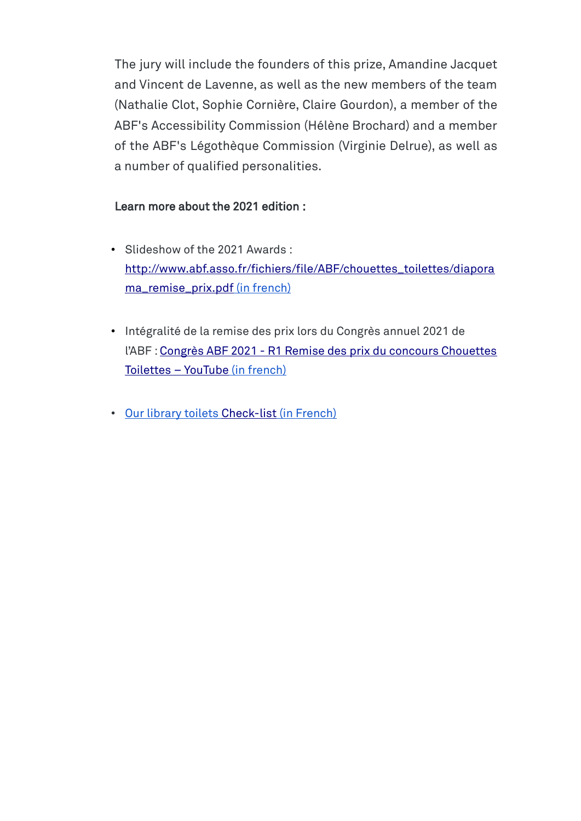The jury will include the founders of this prize, Amandine Jacquet and Vincent de Lavenne, as well as the new members of the team (Nathalie Clot, Sophie Cornière, Claire Gourdon), a member of the ABF's Accessibility Commission (Hélène Brochard) and a member of the ABF's Légothèque Commission (Virginie Delrue), as well as a number of qualified personalities.

#### Learn more about the 2021 edition :

- Slideshow of the 2021 Awards : [http://www.abf.asso.fr/fichiers/file/ABF/chouettes\\_toilettes/diapora](http://www.abf.asso.fr/fichiers/file/ABF/chouettes_toilettes/diaporama_remise_prix.pdf)  [ma\\_remise\\_prix.pdf](http://www.abf.asso.fr/fichiers/file/ABF/chouettes_toilettes/diaporama_remise_prix.pdf) (in french)
- Intégralité de la remise des prix lors du Congrès annuel 2021 de l'ABF : [Congrès ABF 2021 - R1 Remise des prix du concours Chouettes](https://www.youtube.com/watch?v=17ktvV01PVw)  [Toilettes – YouTube](https://www.youtube.com/watch?v=17ktvV01PVw) (in french)
- Our library toilets [Check-list](https://drive.google.com/file/d/16roYLLrKBc3tKYEEB6KrS0KtmTSPHUIM/view) (in French)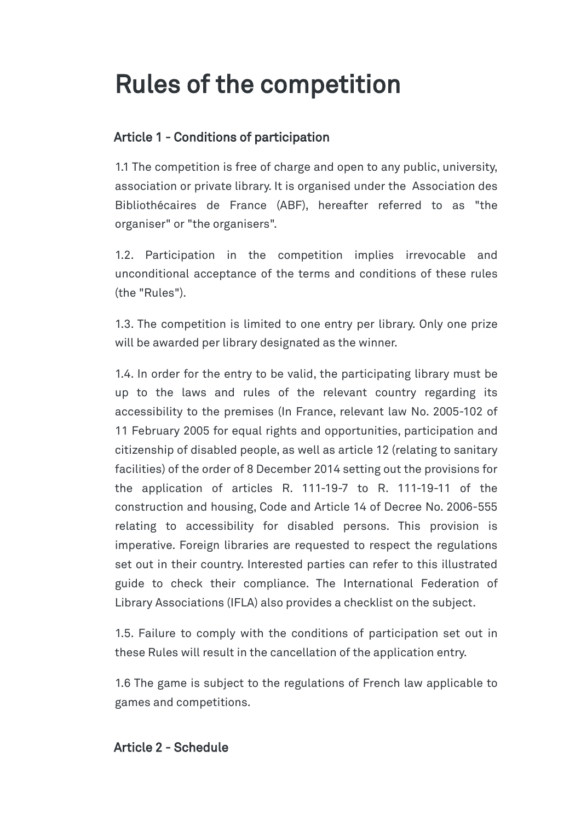## Rules of the competition

### Article 1 - Conditions of participation

1.1 The competition is free of charge and open to any public, university, association or private library. It is organised under the Association des Bibliothécaires de France (ABF), hereafter referred to as "the organiser" or "the organisers".

1.2. Participation in the competition implies irrevocable and unconditional acceptance of the terms and conditions of these rules (the "Rules").

1.3. The competition is limited to one entry per library. Only one prize will be awarded per library designated as the winner.

1.4. In order for the entry to be valid, the participating library must be up to the laws and rules of the relevant country regarding its accessibility to the premises (In France, relevant law No. 2005-102 of 11 February 2005 for equal rights and opportunities, participation and citizenship of disabled people, as well as article 12 (relating to sanitary facilities) of the order of 8 December 2014 setting out the provisions for the application of articles R. 111-19-7 to R. 111-19-11 of the construction and housing, Code and Article 14 of Decree No. 2006-555 relating to accessibility for disabled persons. This provision is imperative. Foreign libraries are requested to respect the regulations set out in their country. Interested parties can refer to this illustrated guide to check their compliance. The International Federation of Library Associations (IFLA) also provides a checklist on the subject.

1.5. Failure to comply with the conditions of participation set out in these Rules will result in the cancellation of the application entry.

1.6 The game is subject to the regulations of French law applicable to games and competitions.

#### Article 2 - Schedule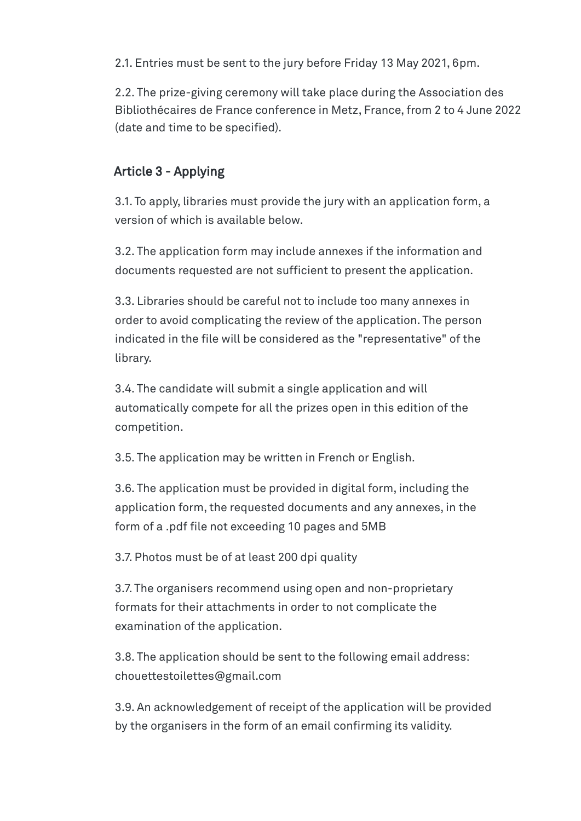2.1. Entries must be sent to the jury before Friday 13 May 2021, 6pm.

2.2. The prize-giving ceremony will take place during the Association des Bibliothécaires de France conference in Metz, France, from 2 to 4 June 2022 (date and time to be specified).

### Article 3 - Applying

3.1. To apply, libraries must provide the jury with an application form, a version of which is available below.

3.2. The application form may include annexes if the information and documents requested are not sufficient to present the application.

3.3. Libraries should be careful not to include too many annexes in order to avoid complicating the review of the application. The person indicated in the file will be considered as the "representative" of the library.

3.4. The candidate will submit a single application and will automatically compete for all the prizes open in this edition of the competition.

3.5. The application may be written in French or English.

3.6. The application must be provided in digital form, including the application form, the requested documents and any annexes, in the form of a .pdf file not exceeding 10 pages and 5MB

3.7. Photos must be of at least 200 dpi quality

3.7. The organisers recommend using open and non-proprietary formats for their attachments in order to not complicate the examination of the application.

3.8. The application should be sent to the following email address: chouettestoilettes@gmail.com

3.9. An acknowledgement of receipt of the application will be provided by the organisers in the form of an email confirming its validity.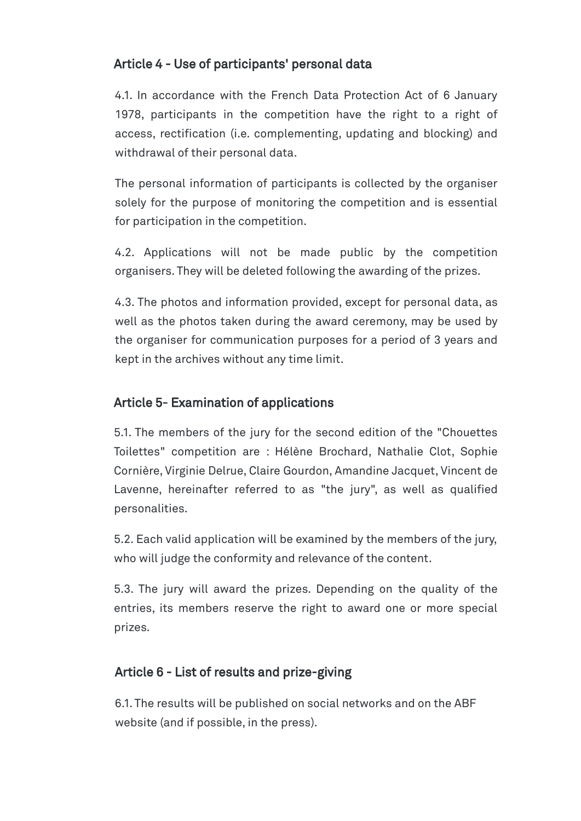### Article 4 - Use of participants' personal data

4.1. In accordance with the French Data Protection Act of 6 January 1978, participants in the competition have the right to a right of access, rectification (i.e. complementing, updating and blocking) and withdrawal of their personal data.

The personal information of participants is collected by the organiser solely for the purpose of monitoring the competition and is essential for participation in the competition.

4.2. Applications will not be made public by the competition organisers. They will be deleted following the awarding of the prizes.

4.3. The photos and information provided, except for personal data, as well as the photos taken during the award ceremony, may be used by the organiser for communication purposes for a period of 3 years and kept in the archives without any time limit.

### Article 5- Examination of applications

5.1. The members of the jury for the second edition of the "Chouettes Toilettes" competition are : Hélène Brochard, Nathalie Clot, Sophie Cornière, Virginie Delrue, Claire Gourdon, Amandine Jacquet, Vincent de Lavenne, hereinafter referred to as "the jury", as well as qualified personalities.

5.2. Each valid application will be examined by the members of the jury, who will judge the conformity and relevance of the content.

5.3. The jury will award the prizes. Depending on the quality of the entries, its members reserve the right to award one or more special prizes.

### Article 6 - List of results and prize-giving

6.1. The results will be published on social networks and on the ABF website (and if possible, in the press).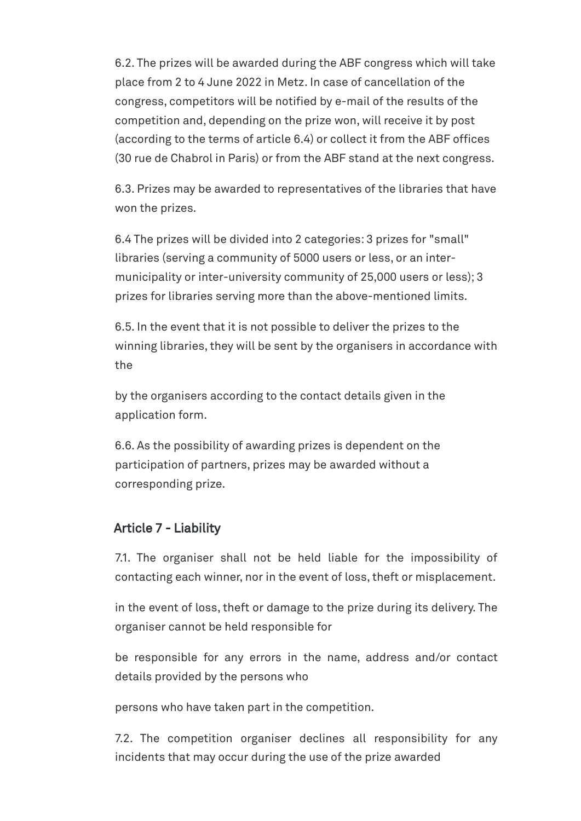6.2. The prizes will be awarded during the ABF congress which will take place from 2 to 4 June 2022 in Metz. In case of cancellation of the congress, competitors will be notified by e-mail of the results of the competition and, depending on the prize won, will receive it by post (according to the terms of article 6.4) or collect it from the ABF offices (30 rue de Chabrol in Paris) or from the ABF stand at the next congress.

6.3. Prizes may be awarded to representatives of the libraries that have won the prizes.

6.4 The prizes will be divided into 2 categories: 3 prizes for "small" libraries (serving a community of 5000 users or less, or an intermunicipality or inter-university community of 25,000 users or less); 3 prizes for libraries serving more than the above-mentioned limits.

6.5. In the event that it is not possible to deliver the prizes to the winning libraries, they will be sent by the organisers in accordance with the

by the organisers according to the contact details given in the application form.

6.6. As the possibility of awarding prizes is dependent on the participation of partners, prizes may be awarded without a corresponding prize.

#### Article 7 - Liability

7.1. The organiser shall not be held liable for the impossibility of contacting each winner, nor in the event of loss, theft or misplacement.

in the event of loss, theft or damage to the prize during its delivery. The organiser cannot be held responsible for

be responsible for any errors in the name, address and/or contact details provided by the persons who

persons who have taken part in the competition.

7.2. The competition organiser declines all responsibility for any incidents that may occur during the use of the prize awarded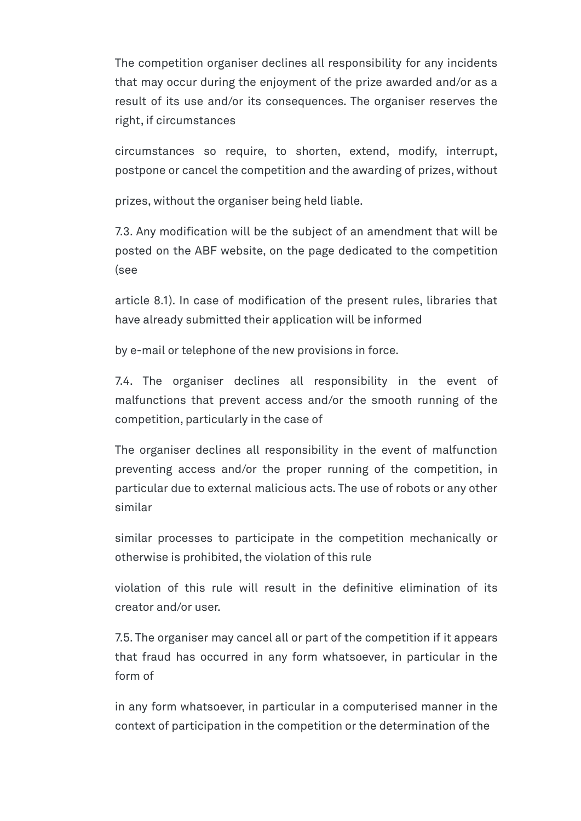The competition organiser declines all responsibility for any incidents that may occur during the enjoyment of the prize awarded and/or as a result of its use and/or its consequences. The organiser reserves the right, if circumstances

circumstances so require, to shorten, extend, modify, interrupt, postpone or cancel the competition and the awarding of prizes, without

prizes, without the organiser being held liable.

7.3. Any modification will be the subject of an amendment that will be posted on the ABF website, on the page dedicated to the competition (see

article 8.1). In case of modification of the present rules, libraries that have already submitted their application will be informed

by e-mail or telephone of the new provisions in force.

7.4. The organiser declines all responsibility in the event of malfunctions that prevent access and/or the smooth running of the competition, particularly in the case of

The organiser declines all responsibility in the event of malfunction preventing access and/or the proper running of the competition, in particular due to external malicious acts. The use of robots or any other similar

similar processes to participate in the competition mechanically or otherwise is prohibited, the violation of this rule

violation of this rule will result in the definitive elimination of its creator and/or user.

7.5. The organiser may cancel all or part of the competition if it appears that fraud has occurred in any form whatsoever, in particular in the form of

in any form whatsoever, in particular in a computerised manner in the context of participation in the competition or the determination of the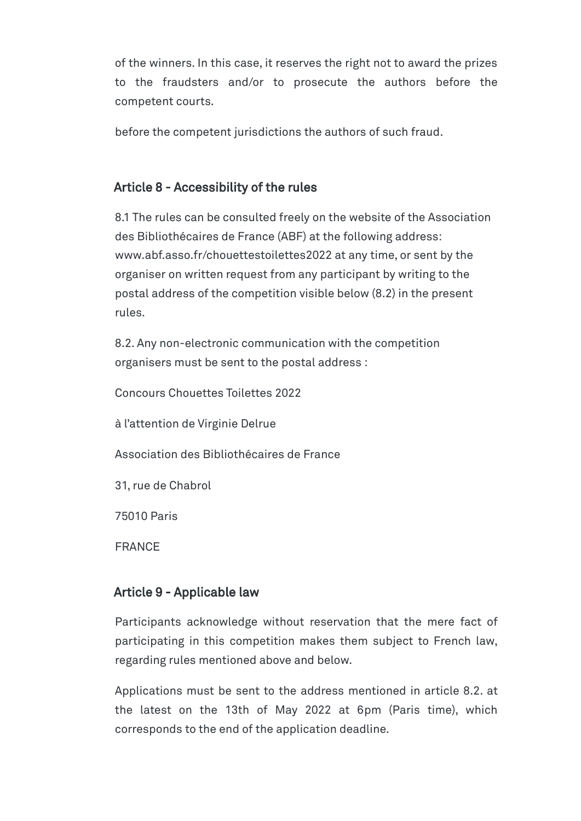of the winners. In this case, it reserves the right not to award the prizes to the fraudsters and/or to prosecute the authors before the competent courts.

before the competent jurisdictions the authors of such fraud.

### Article 8 - Accessibility of the rules

8.1 The rules can be consulted freely on the website of the Association des Bibliothécaires de France (ABF) at the following address: www.abf.asso.fr/chouettestoilettes2022 at any time, or sent by the organiser on written request from any participant by writing to the postal address of the competition visible below (8.2) in the present rules.

8.2. Any non-electronic communication with the competition organisers must be sent to the postal address :

Concours Chouettes Toilettes 2022

à l'attention de Virginie Delrue

Association des Bibliothécaires de France

31, rue de Chabrol

75010 Paris

FRANCE

### Article 9 - Applicable law

Participants acknowledge without reservation that the mere fact of participating in this competition makes them subject to French law, regarding rules mentioned above and below.

Applications must be sent to the address mentioned in article 8.2. at the latest on the 13th of May 2022 at 6pm (Paris time), which corresponds to the end of the application deadline.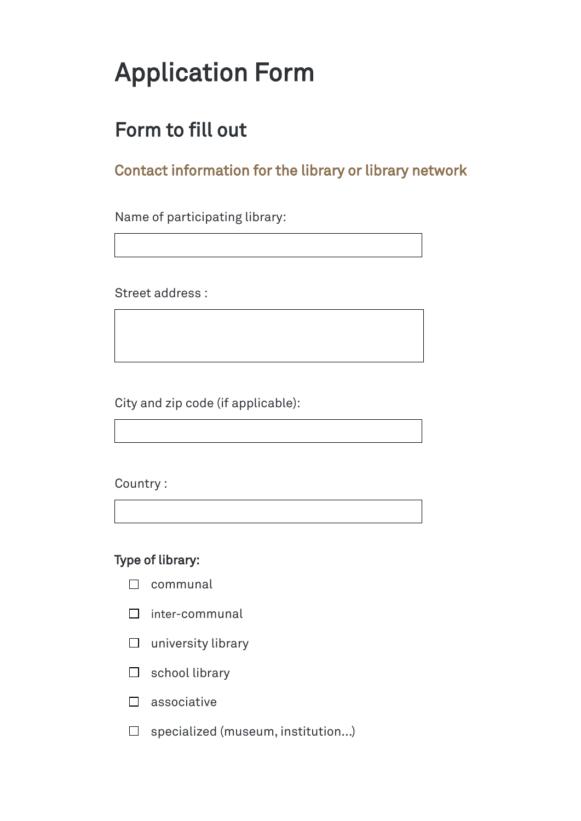## Application Form

## Form to fill out

### Contact information for the library or library network

Name of participating library:

Street address :

City and zip code (if applicable):

Country :

### Type of library:

- $\Box$  communal
- $\square$  inter-communal
- $\square$  university library
- $\square$  school library
- $\Box$  associative
- $\Box$  specialized (museum, institution...)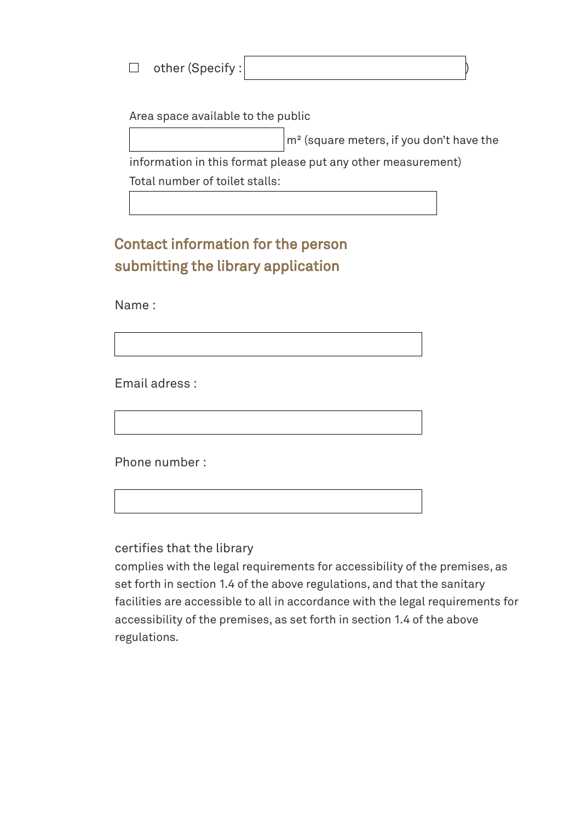| other (Specify : |  |  |
|------------------|--|--|
|------------------|--|--|

Area space available to the public

m² (square meters, if you don't have the

information in this format please put any other measurement)

Total number of toilet stalls:

## Contact information for the person submitting the library application

Name :

Email adress :

Phone number :

certifies that the library

complies with the legal requirements for accessibility of the premises, as set forth in section 1.4 of the above regulations, and that the sanitary facilities are accessible to all in accordance with the legal requirements for accessibility of the premises, as set forth in section 1.4 of the above regulations.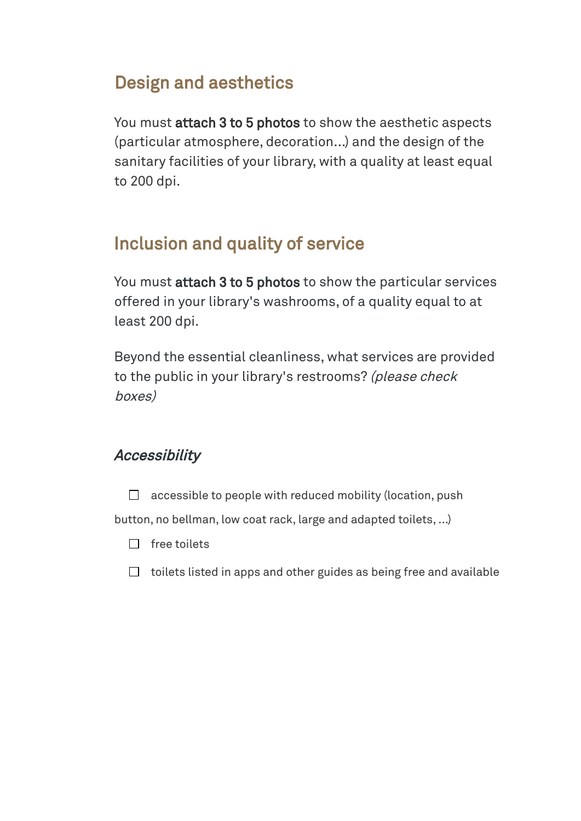## Design and aesthetics

You must attach 3 to 5 photos to show the aesthetic aspects (particular atmosphere, decoration...) and the design of the sanitary facilities of your library, with a quality at least equal to 200 dpi.

## Inclusion and quality of service

You must attach 3 to 5 photos to show the particular services offered in your library's washrooms, of a quality equal to at least 200 dpi.

Beyond the essential cleanliness, what services are provided to the public in your library's restrooms? (please check boxes)

### **Accessibility**

 $\Box$  accessible to people with reduced mobility (location, push

button, no bellman, low coat rack, large and adapted toilets, ...)

- $\Box$  free toilets
- $\Box$  toilets listed in apps and other guides as being free and available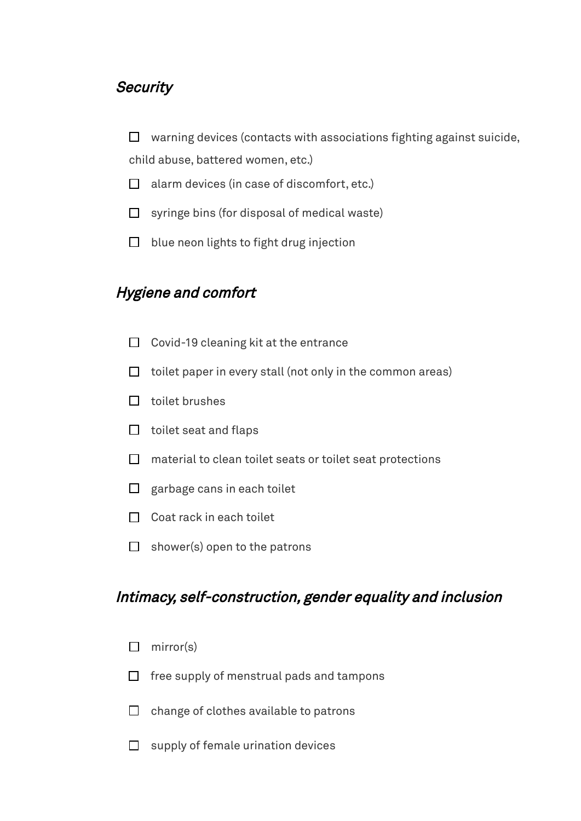### **Security**

 $\Box$  warning devices (contacts with associations fighting against suicide, child abuse, battered women, etc.)

- $\Box$  alarm devices (in case of discomfort, etc.)
- $\Box$  syringe bins (for disposal of medical waste)
- $\Box$  blue neon lights to fight drug injection

### Hygiene and comfort

- $\Box$  Covid-19 cleaning kit at the entrance
- $\Box$  toilet paper in every stall (not only in the common areas)
- $\Box$  toilet brushes
- $\Box$  toilet seat and flaps
- $\Box$  material to clean toilet seats or toilet seat protections
- $\Box$  garbage cans in each toilet
- $\Box$  Coat rack in each toilet
- $\Box$  shower(s) open to the patrons

### Intimacy, self-construction, gender equality and inclusion

- $\Box$  mirror(s)
- $\Box$  free supply of menstrual pads and tampons
- $\Box$  change of clothes available to patrons
- $\Box$  supply of female urination devices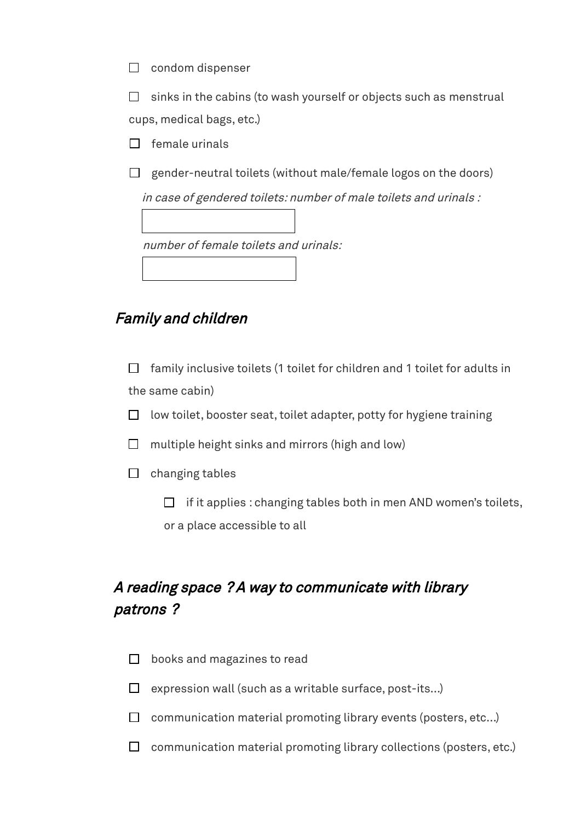$\Box$  condom dispenser

sinks in the cabins (to wash yourself or objects such as menstrual  $\Box$ cups, medical bags, etc.)

- $\Box$  female urinals
- $\Box$  gender-neutral toilets (without male/female logos on the doors)

in case of gendered toilets: number of male toilets and urinals :

number of female toilets and urinals:

### Family and children

 $\Box$  family inclusive toilets (1 toilet for children and 1 toilet for adults in the same cabin)

- low toilet, booster seat, toilet adapter, potty for hygiene training  $\Box$
- multiple height sinks and mirrors (high and low) П.
- $\Box$  changing tables

 $\Box$  if it applies : changing tables both in men AND women's toilets, or a place accessible to all

### A reading space ? A way to communicate with library patrons ?

- books and magazines to read  $\Box$
- $\Box$  expression wall (such as a writable surface, post-its...)
- $\Box$  communication material promoting library events (posters, etc...)
- $\Box$  communication material promoting library collections (posters, etc.)